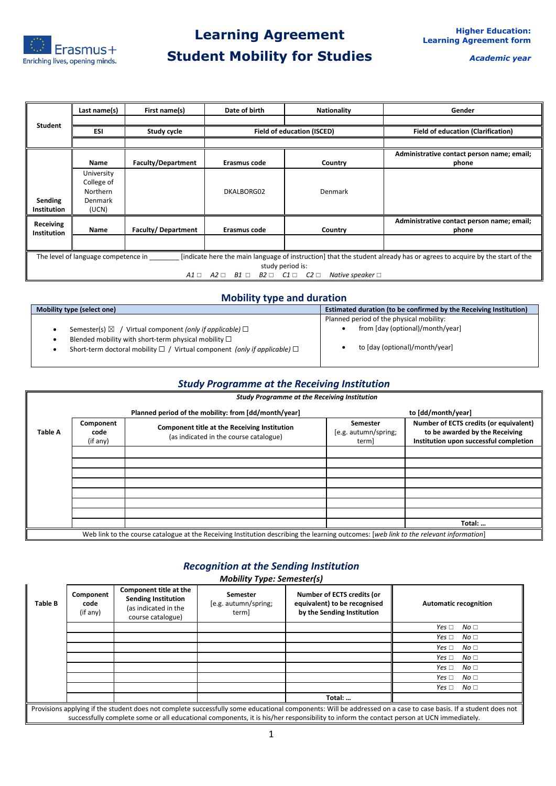

*Academic year*

|                    | Last name(s)                                                                                                                                                  | First name(s)             | Date of birth                          | <b>Nationality</b>                                        | Gender                                     |  |  |
|--------------------|---------------------------------------------------------------------------------------------------------------------------------------------------------------|---------------------------|----------------------------------------|-----------------------------------------------------------|--------------------------------------------|--|--|
| Student            |                                                                                                                                                               |                           |                                        |                                                           |                                            |  |  |
|                    | <b>ESI</b>                                                                                                                                                    | Study cycle               |                                        | <b>Field of education (ISCED)</b>                         | <b>Field of education (Clarification)</b>  |  |  |
|                    |                                                                                                                                                               |                           |                                        |                                                           |                                            |  |  |
|                    |                                                                                                                                                               |                           |                                        |                                                           | Administrative contact person name; email; |  |  |
|                    | <b>Name</b>                                                                                                                                                   | <b>Faculty/Department</b> | Erasmus code                           | Country                                                   | phone                                      |  |  |
|                    | University                                                                                                                                                    |                           |                                        |                                                           |                                            |  |  |
|                    | College of                                                                                                                                                    |                           |                                        |                                                           |                                            |  |  |
|                    | Northern                                                                                                                                                      |                           | DKALBORG02                             | Denmark                                                   |                                            |  |  |
| Sending            | Denmark                                                                                                                                                       |                           |                                        |                                                           |                                            |  |  |
| <b>Institution</b> | (UCN)                                                                                                                                                         |                           |                                        |                                                           |                                            |  |  |
| <b>Receiving</b>   |                                                                                                                                                               |                           |                                        |                                                           | Administrative contact person name; email; |  |  |
| <b>Institution</b> | Name                                                                                                                                                          | <b>Faculty/Department</b> | Erasmus code                           | Country                                                   | phone                                      |  |  |
|                    |                                                                                                                                                               |                           |                                        |                                                           |                                            |  |  |
|                    | [indicate here the main language of instruction] that the student already has or agrees to acquire by the start of the<br>The level of language competence in |                           |                                        |                                                           |                                            |  |  |
|                    |                                                                                                                                                               |                           |                                        | study period is:                                          |                                            |  |  |
|                    |                                                                                                                                                               |                           | $A1 \square$ $A2 \square$ $B1 \square$ | $B2 \Box$ $C1 \Box$ $C2 \Box$<br>Native speaker $\square$ |                                            |  |  |

### **Mobility type and duration**

| <b>Mobility type (select one)</b>                                                                                                                | Estimated duration (to be confirmed by the Receiving Institution) |  |  |
|--------------------------------------------------------------------------------------------------------------------------------------------------|-------------------------------------------------------------------|--|--|
|                                                                                                                                                  | Planned period of the physical mobility:                          |  |  |
| Semester(s) $\boxtimes$ / Virtual component (only if applicable) $\Box$                                                                          | from [day (optional)/month/year]                                  |  |  |
| Blended mobility with short-term physical mobility $\Box$<br>Short-term doctoral mobility $\Box$ / Virtual component (only if applicable) $\Box$ | to [day (optional)/month/year]                                    |  |  |

#### *Study Programme at the Receiving Institution*

|                |                               | <b>Study Programme at the Receiving Institution</b>                                                                                    |                                           |                                                                                                                    |
|----------------|-------------------------------|----------------------------------------------------------------------------------------------------------------------------------------|-------------------------------------------|--------------------------------------------------------------------------------------------------------------------|
|                |                               | Planned period of the mobility: from [dd/month/year]                                                                                   |                                           | to [dd/month/year]                                                                                                 |
| <b>Table A</b> | Component<br>code<br>(if any) | Component title at the Receiving Institution<br>(as indicated in the course catalogue)                                                 | Semester<br>[e.g. autumn/spring;<br>term] | Number of ECTS credits (or equivalent)<br>to be awarded by the Receiving<br>Institution upon successful completion |
|                |                               |                                                                                                                                        |                                           |                                                                                                                    |
|                |                               |                                                                                                                                        |                                           |                                                                                                                    |
|                |                               |                                                                                                                                        |                                           |                                                                                                                    |
|                |                               |                                                                                                                                        |                                           |                                                                                                                    |
|                |                               |                                                                                                                                        |                                           |                                                                                                                    |
|                |                               |                                                                                                                                        |                                           |                                                                                                                    |
|                |                               |                                                                                                                                        |                                           |                                                                                                                    |
|                |                               |                                                                                                                                        |                                           | Total:                                                                                                             |
|                |                               | Web link to the course catalogue at the Receiving Institution describing the learning outcomes: [web link to the relevant information] |                                           |                                                                                                                    |

### *Recognition at the Sending Institution*

*Mobility Type: Semester(s)*

| <b>Table B</b> | Component<br>code<br>(if any)                                                                                                                                                                                                                                                                              | Component title at the<br><b>Sending Institution</b><br>(as indicated in the<br>course catalogue) | Semester<br>[e.g. autumn/spring;<br>term] | Number of ECTS credits (or<br>equivalent) to be recognised<br>by the Sending Institution | <b>Automatic recognition</b>  |
|----------------|------------------------------------------------------------------------------------------------------------------------------------------------------------------------------------------------------------------------------------------------------------------------------------------------------------|---------------------------------------------------------------------------------------------------|-------------------------------------------|------------------------------------------------------------------------------------------|-------------------------------|
|                |                                                                                                                                                                                                                                                                                                            |                                                                                                   |                                           |                                                                                          | No <sub>1</sub><br>Yes $\Box$ |
|                |                                                                                                                                                                                                                                                                                                            |                                                                                                   |                                           |                                                                                          | No <sub>1</sub><br>Yes $\Box$ |
|                |                                                                                                                                                                                                                                                                                                            |                                                                                                   |                                           |                                                                                          | No <sub>1</sub><br>Yes $\Box$ |
|                |                                                                                                                                                                                                                                                                                                            |                                                                                                   |                                           |                                                                                          | No <sub>1</sub><br>Yes $\Box$ |
|                |                                                                                                                                                                                                                                                                                                            |                                                                                                   |                                           |                                                                                          | No <sub>1</sub><br>Yes $\Box$ |
|                |                                                                                                                                                                                                                                                                                                            |                                                                                                   |                                           |                                                                                          | No <sub>1</sub><br>Yes $\Box$ |
|                |                                                                                                                                                                                                                                                                                                            |                                                                                                   |                                           |                                                                                          | No <sub>1</sub><br>Yes $\Box$ |
|                |                                                                                                                                                                                                                                                                                                            |                                                                                                   |                                           | Total:                                                                                   |                               |
|                | Provisions applying if the student does not complete successfully some educational components: Will be addressed on a case to case basis. If a student does not<br>successfully complete some or all educational components, it is his/her responsibility to inform the contact person at UCN immediately. |                                                                                                   |                                           |                                                                                          |                               |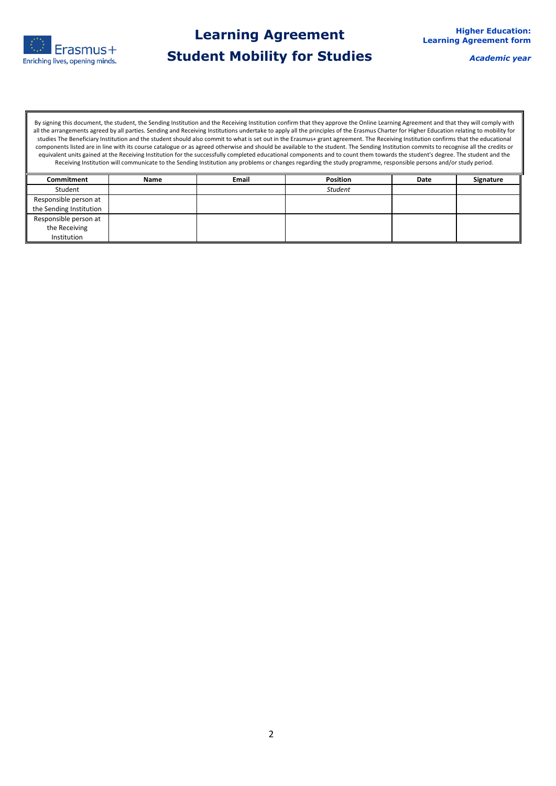

*Academic year*

By signing this document, the student, the Sending Institution and the Receiving Institution confirm that they approve the Online Learning Agreement and that they will comply with all the arrangements agreed by all parties. Sending and Receiving Institutions undertake to apply all the principles of the Erasmus Charter for Higher Education relating to mobility for studies The Beneficiary Institution and the student should also commit to what is set out in the Erasmus+ grant agreement. The Receiving Institution confirms that the educational components listed are in line with its course catalogue or as agreed otherwise and should be available to the student. The Sending Institution commits to recognise all the credits or equivalent units gained at the Receiving Institution for the successfully completed educational components and to count them towards the student's degree. The student and the Receiving Institution will communicate to the Sending Institution any problems or changes regarding the study programme, responsible persons and/or study period.

| Commitment              | <b>Name</b> | <b>Email</b> | <b>Position</b> | Date | Signature |
|-------------------------|-------------|--------------|-----------------|------|-----------|
| Student                 |             |              | <b>Student</b>  |      |           |
| Responsible person at   |             |              |                 |      |           |
| the Sending Institution |             |              |                 |      |           |
| Responsible person at   |             |              |                 |      |           |
| the Receiving           |             |              |                 |      |           |
| Institution             |             |              |                 |      |           |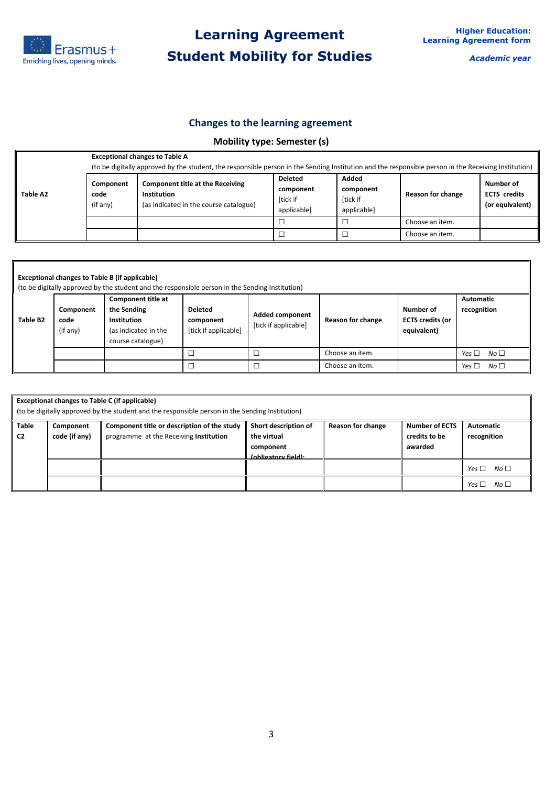

*Academic year*

## **Changes to the learning agreement**

## **Mobility type: Semester (s)**

| Table A2 |                               | <b>Exceptional changes to Table A</b><br>(to be digitally approved by the student, the responsible person in the Sending Institution and the responsible person in the Receiving Institution) |                                                        |                                               |                   |                                                     |  |  |  |  |
|----------|-------------------------------|-----------------------------------------------------------------------------------------------------------------------------------------------------------------------------------------------|--------------------------------------------------------|-----------------------------------------------|-------------------|-----------------------------------------------------|--|--|--|--|
|          | Component<br>code<br>(if any) | <b>Component title at the Receiving</b><br>Institution<br>(as indicated in the course catalogue)                                                                                              | <b>Deleted</b><br>component<br>[tick if<br>applicable] | Added<br>component<br>[tick if<br>applicable] | Reason for change | Number of<br><b>ECTS</b> credits<br>(or equivalent) |  |  |  |  |
|          |                               |                                                                                                                                                                                               |                                                        |                                               | Choose an item.   |                                                     |  |  |  |  |
|          |                               |                                                                                                                                                                                               |                                                        |                                               | Choose an item.   |                                                     |  |  |  |  |

| <b>Exceptional changes to Table B (if applicable)</b><br>(to be digitally approved by the student and the responsible person in the Sending Institution) |                               |                                                                                                      |                                                     |                                                |                   |                                                     |                                 |  |
|----------------------------------------------------------------------------------------------------------------------------------------------------------|-------------------------------|------------------------------------------------------------------------------------------------------|-----------------------------------------------------|------------------------------------------------|-------------------|-----------------------------------------------------|---------------------------------|--|
| Table B2                                                                                                                                                 | Component<br>code<br>(if any) | <b>Component title at</b><br>the Sending<br>Institution<br>(as indicated in the<br>course catalogue) | <b>Deleted</b><br>component<br>[tick if applicable] | <b>Added component</b><br>[tick if applicable] | Reason for change | Number of<br><b>ECTS credits (or</b><br>equivalent) | <b>Automatic</b><br>recognition |  |
|                                                                                                                                                          |                               |                                                                                                      | $\Box$                                              |                                                | Choose an item.   |                                                     | No <sub>1</sub><br>Yes $\Box$   |  |
|                                                                                                                                                          |                               |                                                                                                      |                                                     |                                                | Choose an item.   |                                                     | No <sub>1</sub><br>Yes $\Box$   |  |

|                                | <b>Exceptional changes to Table C (if applicable)</b><br>(to be digitally approved by the student and the responsible person in the Sending Institution) |                                                                                       |                                                                         |                   |                                                   |                                 |  |  |
|--------------------------------|----------------------------------------------------------------------------------------------------------------------------------------------------------|---------------------------------------------------------------------------------------|-------------------------------------------------------------------------|-------------------|---------------------------------------------------|---------------------------------|--|--|
| <b>Table</b><br>C <sub>2</sub> | Component<br>code (if any)                                                                                                                               | Component title or description of the study<br>programme at the Receiving Institution | Short description of<br>the virtual<br>component<br>(obligatory field): | Reason for change | <b>Number of ECTS</b><br>credits to be<br>awarded | <b>Automatic</b><br>recognition |  |  |
|                                |                                                                                                                                                          |                                                                                       |                                                                         |                   |                                                   | Yes $\Box$<br>No <sub>1</sub>   |  |  |
|                                |                                                                                                                                                          |                                                                                       |                                                                         |                   |                                                   | No $\Box$<br>Yes $\Box$         |  |  |